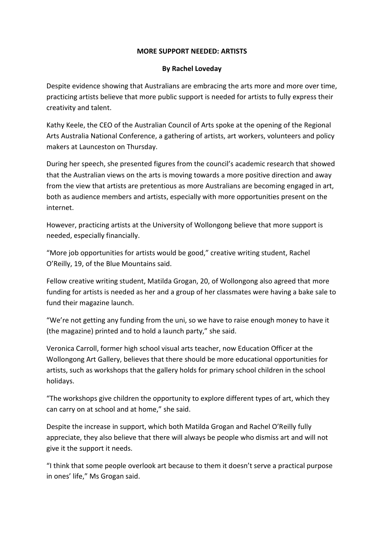## **MORE SUPPORT NEEDED: ARTISTS**

## **By Rachel Loveday**

Despite evidence showing that Australians are embracing the arts more and more over time, practicing artists believe that more public support is needed for artists to fully express their creativity and talent.

Kathy Keele, the CEO of the Australian Council of Arts spoke at the opening of the Regional Arts Australia National Conference, a gathering of artists, art workers, volunteers and policy makers at Launceston on Thursday.

During her speech, she presented figures from the council's academic research that showed that the Australian views on the arts is moving towards a more positive direction and away from the view that artists are pretentious as more Australians are becoming engaged in art, both as audience members and artists, especially with more opportunities present on the internet.

However, practicing artists at the University of Wollongong believe that more support is needed, especially financially.

"More job opportunities for artists would be good," creative writing student, Rachel O'Reilly, 19, of the Blue Mountains said.

Fellow creative writing student, Matilda Grogan, 20, of Wollongong also agreed that more funding for artists is needed as her and a group of her classmates were having a bake sale to fund their magazine launch.

"We're not getting any funding from the uni, so we have to raise enough money to have it (the magazine) printed and to hold a launch party," she said.

Veronica Carroll, former high school visual arts teacher, now Education Officer at the Wollongong Art Gallery, believes that there should be more educational opportunities for artists, such as workshops that the gallery holds for primary school children in the school holidays.

"The workshops give children the opportunity to explore different types of art, which they can carry on at school and at home," she said.

Despite the increase in support, which both Matilda Grogan and Rachel O'Reilly fully appreciate, they also believe that there will always be people who dismiss art and will not give it the support it needs.

"I think that some people overlook art because to them it doesn't serve a practical purpose in ones' life," Ms Grogan said.